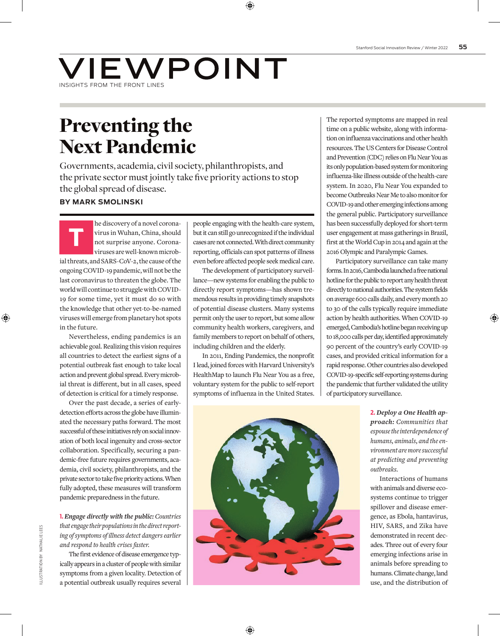## VIEWPOINT INSIGHTS FROM THE FRONT LINES

# Preventing the Next Pandemic

Governments, academia, civil society, philanthropists, and the private sector must jointly take five priority actions to stop the global spread of disease.

### **BY MARK SMOLINSKI**

he discovery of a novel corona-<br>virus in Wuhan, China, should<br>not surprise anyone. Corona-<br>viruses are well-known microbvirus in Wuhan, China, should not surprise anyone. Coronaviruses are well-known microbial threats, and SARS-CoV-2, the cause of the ongoing COVID-19 pandemic, will not be the last coronavirus to threaten the globe. The world will continue to struggle with COVID-19 for some time, yet it must do so with the knowledge that other yet-to-be-named viruses will emerge from planetary hot spots in the future.

Nevertheless, ending pandemics is an achievable goal. Realizing this vision requires all countries to detect the earliest signs of a potential outbreak fast enough to take local action and prevent global spread. Every microbial threat is different, but in all cases, speed of detection is critical for a timely response.

Over the past decade, a series of earlydetection efforts across the globe have illuminated the necessary paths forward. The most successful of these initiatives rely on social innovation of both local ingenuity and cross-sector collaboration. Specifically, securing a pandemic-free future requires governments, academia, civil society, philanthropists, and the private sector to take five priority actions. When fully adopted, these measures will transform pandemic preparedness in the future.

**1.** *Engage directly with the public: Countries that engage their populations in the direct reporting of symptoms of illness detect dangers earlier and respond to health crises faster.*

The first evidence of disease emergence typically appears in a cluster of people with similar symptoms from a given locality. Detection of a potential outbreak usually requires several people engaging with the health-care system, but it can still go unrecognized if the individual cases are not connected. With direct community reporting, officials can spot patterns of illness even before affected people seek medical care.

The development of participatory surveillance—new systems for enabling the public to directly report symptoms—has shown tremendous results in providing timely snapshots of potential disease clusters. Many systems permit only the user to report, but some allow community health workers, caregivers, and family members to report on behalf of others, including children and the elderly.

In 2011, Ending Pandemics, the nonprofit I lead, joined forces with Harvard University's HealthMap to launch Flu Near You as a free, voluntary system for the public to self-report symptoms of influenza in the United States.



The reported symptoms are mapped in real time on a public website, along with information on influenza vaccinations and other health resources. The US Centers for Disease Control and Prevention (CDC) relies on Flu Near You as its only population-based system for monitoring influenza-like illness outside of the health-care system. In 2020, Flu Near You expanded to become Outbreaks Near Me to also monitor for COVID-19 and other emerging infections among the general public. Participatory surveillance has been successfully deployed for short-term user engagement at mass gatherings in Brazil, first at the World Cup in 2014 and again at the 2016 Olympic and Paralympic Games.

Participatory surveillance can take many forms. In 2016, Cambodia launched a free national hotline for the public to report any health threat directly to national authorities. The system fields on average 600 calls daily, and every month 20 to 30 of the calls typically require immediate action by health authorities. When COVID-19 emerged, Cambodia's hotline began receiving up to 18,000 calls per day, identified approximately 90 percent of the country's early COVID-19 cases, and provided critical information for a rapid response. Other countries also developed COVID-19-specific self-reporting systems during the pandemic that further validated the utility of participatory surveillance.

> **2.** *Deploy a One Health approach: Communities that espouse the interdependence of humans, animals, and the environment are more successful at predicting and preventing outbreaks.*

> Interactions of humans with animals and diverse ecosystems continue to trigger spillover and disease emergence, as Ebola, hantavirus, HIV, SARS, and Zika have demonstrated in recent decades. Three out of every four emerging infections arise in animals before spreading to humans. Climate change, land use, and the distribution of